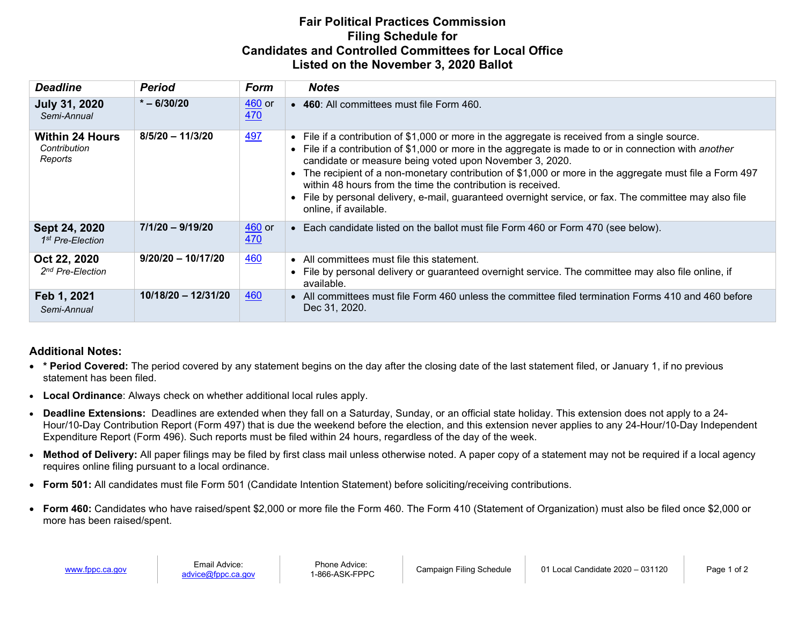## **Fair Political Practices Commission Filing Schedule for Candidates and Controlled Committees for Local Office Listed on the November 3, 2020 Ballot**

| <b>Deadline</b>                                   | <b>Period</b>        | Form                             | <b>Notes</b>                                                                                                                                                                                                                                                                                                                                                                                                                                                                                                                                                              |
|---------------------------------------------------|----------------------|----------------------------------|---------------------------------------------------------------------------------------------------------------------------------------------------------------------------------------------------------------------------------------------------------------------------------------------------------------------------------------------------------------------------------------------------------------------------------------------------------------------------------------------------------------------------------------------------------------------------|
| <b>July 31, 2020</b><br>Semi-Annual               | $* - 6/30/20$        | $460$ or<br><u>470</u>           | • 460: All committees must file Form 460.                                                                                                                                                                                                                                                                                                                                                                                                                                                                                                                                 |
| <b>Within 24 Hours</b><br>Contribution<br>Reports | $8/5/20 - 11/3/20$   | <u>497</u>                       | • File if a contribution of \$1,000 or more in the aggregate is received from a single source.<br>File if a contribution of \$1,000 or more in the aggregate is made to or in connection with another<br>candidate or measure being voted upon November 3, 2020.<br>The recipient of a non-monetary contribution of \$1,000 or more in the aggregate must file a Form 497<br>within 48 hours from the time the contribution is received.<br>File by personal delivery, e-mail, guaranteed overnight service, or fax. The committee may also file<br>online, if available. |
| Sept 24, 2020<br>1 <sup>st</sup> Pre-Election     | $7/1/20 - 9/19/20$   | $\frac{460}{ }$ or<br><u>470</u> | Each candidate listed on the ballot must file Form 460 or Form 470 (see below).                                                                                                                                                                                                                                                                                                                                                                                                                                                                                           |
| Oct 22, 2020<br>2 <sup>nd</sup> Pre-Election      | $9/20/20 - 10/17/20$ | <u>460</u>                       | • All committees must file this statement.<br>File by personal delivery or guaranteed overnight service. The committee may also file online, if<br>available.                                                                                                                                                                                                                                                                                                                                                                                                             |
| Feb 1, 2021<br>Semi-Annual                        | 10/18/20 - 12/31/20  | 460                              | • All committees must file Form 460 unless the committee filed termination Forms 410 and 460 before<br>Dec 31, 2020.                                                                                                                                                                                                                                                                                                                                                                                                                                                      |

## **Additional Notes:**

- **\* Period Covered:** The period covered by any statement begins on the day after the closing date of the last statement filed, or January 1, if no previous statement has been filed.
- **Local Ordinance**: Always check on whether additional local rules apply.
- **Deadline Extensions:** Deadlines are extended when they fall on a Saturday, Sunday, or an official state holiday. This extension does not apply to a 24- Hour/10-Day Contribution Report (Form 497) that is due the weekend before the election, and this extension never applies to any 24-Hour/10-Day Independent Expenditure Report (Form 496). Such reports must be filed within 24 hours, regardless of the day of the week.
- **Method of Delivery:** All paper filings may be filed by first class mail unless otherwise noted. A paper copy of a statement may not be required if a local agency requires online filing pursuant to a local ordinance.
- **Form 501:** All candidates must file Form 501 (Candidate Intention Statement) before soliciting/receiving contributions.
- **Form 460:** Candidates who have raised/spent \$2,000 or more file the Form 460. The Form 410 (Statement of Organization) must also be filed once \$2,000 or more has been raised/spent.